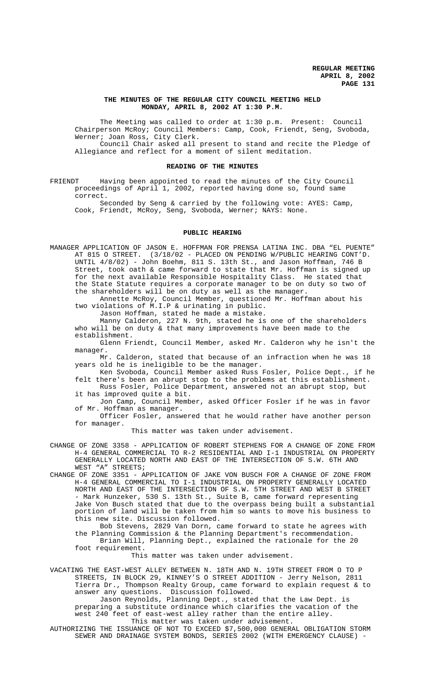### **THE MINUTES OF THE REGULAR CITY COUNCIL MEETING HELD MONDAY, APRIL 8, 2002 AT 1:30 P.M.**

The Meeting was called to order at 1:30 p.m. Present: Council Chairperson McRoy; Council Members: Camp, Cook, Friendt, Seng, Svoboda, Werner; Joan Ross, City Clerk. Council Chair asked all present to stand and recite the Pledge of

Allegiance and reflect for a moment of silent meditation.

## **READING OF THE MINUTES**

FRIENDT Having been appointed to read the minutes of the City Council proceedings of April 1, 2002, reported having done so, found same correct.

Seconded by Seng & carried by the following vote: AYES: Camp, Cook, Friendt, McRoy, Seng, Svoboda, Werner; NAYS: None.

#### **PUBLIC HEARING**

MANAGER APPLICATION OF JASON E. HOFFMAN FOR PRENSA LATINA INC. DBA "EL PUENTE" AT 815 O STREET. (3/18/02 - PLACED ON PENDING W/PUBLIC HEARING CONT'D. UNTIL 4/8/02) - John Boehm, 811 S. 13th St., and Jason Hoffman, 746 B Street, took oath & came forward to state that Mr. Hoffman is signed up for the next available Responsible Hospitality Class. He stated that the State Statute requires a corporate manager to be on duty so two of the shareholders will be on duty as well as the manager.

Annette McRoy, Council Member, questioned Mr. Hoffman about his two violations of M.I.P & urinating in public.

Jason Hoffman, stated he made a mistake.

Manny Calderon, 227 N. 9th, stated he is one of the shareholders who will be on duty & that many improvements have been made to the establishment.

Glenn Friendt, Council Member, asked Mr. Calderon why he isn't the manager.

 Mr. Calderon, stated that because of an infraction when he was 18 years old he is ineligible to be the manager.

Ken Svoboda, Council Member asked Russ Fosler, Police Dept., if he felt there's been an abrupt stop to the problems at this establishment. Russ Fosler, Police Department, answered not an abrupt stop, but

it has improved quite a bit.

Jon Camp, Council Member, asked Officer Fosler if he was in favor of Mr. Hoffman as manager.

Officer Fosler, answered that he would rather have another person for manager.

This matter was taken under advisement.

CHANGE OF ZONE 3358 - APPLICATION OF ROBERT STEPHENS FOR A CHANGE OF ZONE FROM H-4 GENERAL COMMERCIAL TO R-2 RESIDENTIAL AND I-1 INDUSTRIAL ON PROPERTY GENERALLY LOCATED NORTH AND EAST OF THE INTERSECTION OF S.W. 6TH AND WEST "A" STREETS;

CHANGE OF ZONE 3351 - APPLICATION OF JAKE VON BUSCH FOR A CHANGE OF ZONE FROM H-4 GENERAL COMMERCIAL TO I-1 INDUSTRIAL ON PROPERTY GENERALLY LOCATED NORTH AND EAST OF THE INTERSECTION OF S.W. 5TH STREET AND WEST B STREET - Mark Hunzeker, 530 S. 13th St., Suite B, came forward representing Jake Von Busch stated that due to the overpass being built a substantial portion of land will be taken from him so wants to move his business to this new site. Discussion followed.

 Bob Stevens, 2829 Van Dorn, came forward to state he agrees with the Planning Commission & the Planning Department's recommendation. Brian Will, Planning Dept., explained the rationale for the 20 foot requirement.

This matter was taken under advisement.

VACATING THE EAST-WEST ALLEY BETWEEN N. 18TH AND N. 19TH STREET FROM O TO P STREETS, IN BLOCK 29, KINNEY'S O STREET ADDITION - Jerry Nelson, 2811 Tierra Dr., Thompson Realty Group, came forward to explain request & to answer any questions. Discussion followed.

Jason Reynolds, Planning Dept., stated that the Law Dept. is preparing a substitute ordinance which clarifies the vacation of the west 240 feet of east-west alley rather than the entire alley. This matter was taken under advisement.

AUTHORIZING THE ISSUANCE OF NOT TO EXCEED \$7,500,000 GENERAL OBLIGATION STORM SEWER AND DRAINAGE SYSTEM BONDS, SERIES 2002 (WITH EMERGENCY CLAUSE) -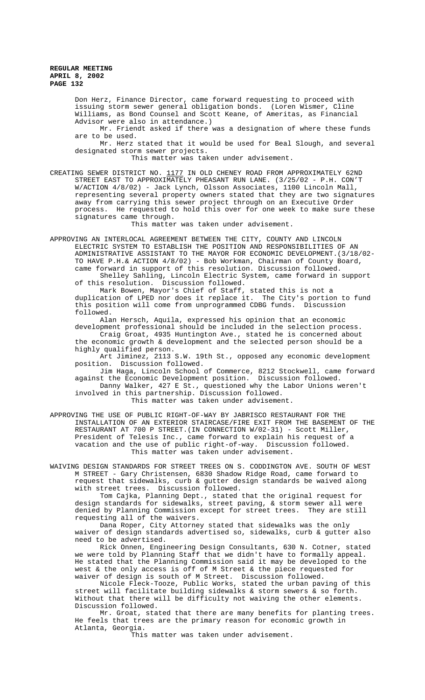Don Herz, Finance Director, came forward requesting to proceed with issuing storm sewer general obligation bonds. (Loren Wismer, Cline Williams, as Bond Counsel and Scott Keane, of Ameritas, as Financial Advisor were also in attendance.)

Mr. Friendt asked if there was a designation of where these funds are to be used.

Mr. Herz stated that it would be used for Beal Slough, and several designated storm sewer projects.

This matter was taken under advisement.

CREATING SEWER DISTRICT NO. 1177 IN OLD CHENEY ROAD FROM APPROXIMATELY 62ND STREET EAST TO APPROXIMATELY PHEASANT RUN LANE. (3/25/02 - P.H. CON'T W/ACTION 4/8/02) - Jack Lynch, Olsson Associates, 1100 Lincoln Mall, representing several property owners stated that they are two signatures away from carrying this sewer project through on an Executive Order process. He requested to hold this over for one week to make sure these signatures came through.

This matter was taken under advisement.

APPROVING AN INTERLOCAL AGREEMENT BETWEEN THE CITY, COUNTY AND LINCOLN ELECTRIC SYSTEM TO ESTABLISH THE POSITION AND RESPONSIBILITIES OF AN ADMINISTRATIVE ASSISTANT TO THE MAYOR FOR ECONOMIC DEVELOPMENT.(3/18/02- TO HAVE P.H.& ACTION 4/8/02) - Bob Workman, Chairman of County Board, came forward in support of this resolution. Discussion followed. Shelley Sahling, Lincoln Electric System, came forward in support of this resolution. Discussion followed.

Mark Bowen, Mayor's Chief of Staff, stated this is not a duplication of LPED nor does it replace it. The City's portion to fund this position will come from unprogrammed CDBG funds. Discussion

followed. Alan Hersch, Aquila, expressed his opinion that an economic development professional should be included in the selection process.

Craig Groat, 4935 Huntington Ave., stated he is concerned about the economic growth & development and the selected person should be a highly qualified person.

Art Jiminez, 2113 S.W. 19th St., opposed any economic development position. Discussion followed.

Jim Haga, Lincoln School of Commerce, 8212 Stockwell, came forward against the Economic Development position. Discussion followed. Danny Walker, 427 E St., questioned why the Labor Unions weren't involved in this partnership. Discussion followed. This matter was taken under advisement.

APPROVING THE USE OF PUBLIC RIGHT-OF-WAY BY JABRISCO RESTAURANT FOR THE INSTALLATION OF AN EXTERIOR STAIRCASE/FIRE EXIT FROM THE BASEMENT OF THE RESTAURANT AT 700 P STREET.(IN CONNECTION W/02-31) - Scott Miller, President of Telesis Inc., came forward to explain his request of a vacation and the use of public right-of-way. Discussion followed. This matter was taken under advisement.

WAIVING DESIGN STANDARDS FOR STREET TREES ON S. CODDINGTON AVE. SOUTH OF WEST M STREET - Gary Christensen, 6830 Shadow Ridge Road, came forward to request that sidewalks, curb & gutter design standards be waived along with street trees. Discussion followed.

Tom Cajka, Planning Dept., stated that the original request for design standards for sidewalks, street paving, & storm sewer all were denied by Planning Commission except for street trees. They are still requesting all of the waivers.

Dana Roper, City Attorney stated that sidewalks was the only waiver of design standards advertised so, sidewalks, curb & gutter also need to be advertised.

Rick Onnen, Engineering Design Consultants, 630 N. Cotner, stated we were told by Planning Staff that we didn't have to formally appeal. He stated that the Planning Commission said it may be developed to the west & the only access is off of M Street & the piece requested for waiver of design is south of M Street. Discussion followed.

Nicole Fleck-Tooze, Public Works, stated the urban paving of this street will facilitate building sidewalks & storm sewers & so forth. Without that there will be difficulty not waiving the other elements. Discussion followed.

Mr. Groat, stated that there are many benefits for planting trees. He feels that trees are the primary reason for economic growth in Atlanta, Georgia.

This matter was taken under advisement.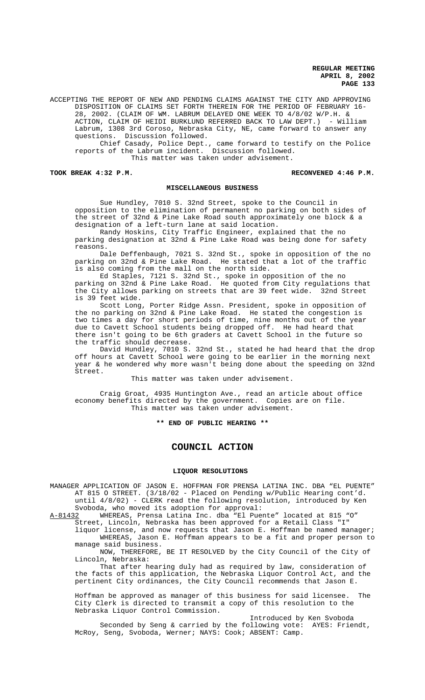ACCEPTING THE REPORT OF NEW AND PENDING CLAIMS AGAINST THE CITY AND APPROVING DISPOSITION OF CLAIMS SET FORTH THEREIN FOR THE PERIOD OF FEBRUARY 16- 28, 2002. (CLAIM OF WM. LABRUM DELAYED ONE WEEK TO 4/8/02 W/P.H. & ACTION, CLAIM OF HEIDI BURKLUND REFERRED BACK TO LAW DEPT.) - William Labrum, 1308 3rd Coroso, Nebraska City, NE, came forward to answer any questions. Discussion followed.

Chief Casady, Police Dept., came forward to testify on the Police reports of the Labrum incident. Discussion followed. This matter was taken under advisement.

**TOOK BREAK 4:32 P.M. RECONVENED 4:46 P.M.**

#### **MISCELLANEOUS BUSINESS**

Sue Hundley, 7010 S. 32nd Street, spoke to the Council in opposition to the elimination of permanent no parking on both sides of the street of 32nd & Pine Lake Road south approximately one block & a designation of a left-turn lane at said location.

Randy Hoskins, City Traffic Engineer, explained that the no parking designation at 32nd & Pine Lake Road was being done for safety reasons.

Dale Deffenbaugh, 7021 S. 32nd St., spoke in opposition of the no parking on 32nd & Pine Lake Road. He stated that a lot of the traffic is also coming from the mall on the north side.

Ed Staples, 7121 S. 32nd St., spoke in opposition of the no parking on 32nd & Pine Lake Road. He quoted from City regulations that the City allows parking on streets that are 39 feet wide. 32nd Street is 39 feet wide.

Scott Long, Porter Ridge Assn. President, spoke in opposition of the no parking on 32nd & Pine Lake Road. He stated the congestion is two times a day for short periods of time, nine months out of the year due to Cavett School students being dropped off. He had heard that there isn't going to be 6th graders at Cavett School in the future so the traffic should decrease.

David Hundley, 7010 S. 32nd St., stated he had heard that the drop off hours at Cavett School were going to be earlier in the morning next year & he wondered why more wasn't being done about the speeding on 32nd Street.

This matter was taken under advisement.

Craig Groat, 4935 Huntington Ave., read an article about office economy benefits directed by the government. Copies are on file. This matter was taken under advisement.

**\*\* END OF PUBLIC HEARING \*\***

# **COUNCIL ACTION**

#### **LIQUOR RESOLUTIONS**

MANAGER APPLICATION OF JASON E. HOFFMAN FOR PRENSA LATINA INC. DBA "EL PUENTE" AT 815 O STREET. (3/18/02 - Placed on Pending w/Public Hearing cont'd. until 4/8/02) - CLERK read the following resolution, introduced by Ken Svoboda, who moved its adoption for approval:

A-81432 WHEREAS, Prensa Latina Inc. dba "El Puente" located at 815 "O" Street, Lincoln, Nebraska has been approved for a Retail Class "I"

liquor license, and now requests that Jason E. Hoffman be named manager; WHEREAS, Jason E. Hoffman appears to be a fit and proper person to manage said business.

NOW, THEREFORE, BE IT RESOLVED by the City Council of the City of Lincoln, Nebraska:

That after hearing duly had as required by law, consideration of the facts of this application, the Nebraska Liquor Control Act, and the pertinent City ordinances, the City Council recommends that Jason E.

Hoffman be approved as manager of this business for said licensee. The City Clerk is directed to transmit a copy of this resolution to the Nebraska Liquor Control Commission.

Introduced by Ken Svoboda Seconded by Seng & carried by the following vote: AYES: Friendt, McRoy, Seng, Svoboda, Werner; NAYS: Cook; ABSENT: Camp.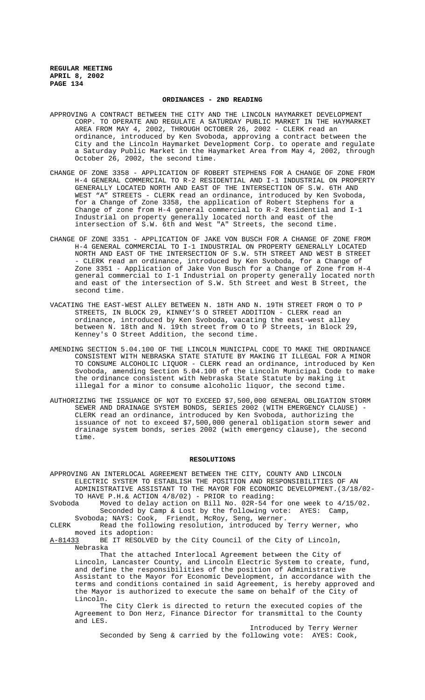### **ORDINANCES - 2ND READING**

- APPROVING A CONTRACT BETWEEN THE CITY AND THE LINCOLN HAYMARKET DEVELOPMENT CORP. TO OPERATE AND REGULATE A SATURDAY PUBLIC MARKET IN THE HAYMARKET AREA FROM MAY 4, 2002, THROUGH OCTOBER 26, 2002 - CLERK read an ordinance, introduced by Ken Svoboda, approving a contract between the City and the Lincoln Haymarket Development Corp. to operate and regulate a Saturday Public Market in the Haymarket Area from May 4, 2002, through October 26, 2002, the second time.
- CHANGE OF ZONE 3358 APPLICATION OF ROBERT STEPHENS FOR A CHANGE OF ZONE FROM H-4 GENERAL COMMERCIAL TO R-2 RESIDENTIAL AND I-1 INDUSTRIAL ON PROPERTY GENERALLY LOCATED NORTH AND EAST OF THE INTERSECTION OF S.W. 6TH AND WEST "A" STREETS - CLERK read an ordinance, introduced by Ken Svoboda, for a Change of Zone 3358, the application of Robert Stephens for a Change of zone from H-4 general commercial to R-2 Residential and I-1 Industrial on property generally located north and east of the intersection of S.W. 6th and West "A" Streets, the second time.
- CHANGE OF ZONE 3351 APPLICATION OF JAKE VON BUSCH FOR A CHANGE OF ZONE FROM H-4 GENERAL COMMERCIAL TO I-1 INDUSTRIAL ON PROPERTY GENERALLY LOCATED NORTH AND EAST OF THE INTERSECTION OF S.W. 5TH STREET AND WEST B STREET - CLERK read an ordinance, introduced by Ken Svoboda, for a Change of Zone 3351 - Application of Jake Von Busch for a Change of Zone from H-4 general commercial to I-1 Industrial on property generally located north and east of the intersection of S.W. 5th Street and West B Street, the second time.
- VACATING THE EAST-WEST ALLEY BETWEEN N. 18TH AND N. 19TH STREET FROM O TO P STREETS, IN BLOCK 29, KINNEY'S O STREET ADDITION - CLERK read an ordinance, introduced by Ken Svoboda, vacating the east-west alley between N. 18th and N. 19th street from O to P Streets, in Block 29, Kenney's O Street Addition, the second time.
- AMENDING SECTION 5.04.100 OF THE LINCOLN MUNICIPAL CODE TO MAKE THE ORDINANCE CONSISTENT WITH NEBRASKA STATE STATUTE BY MAKING IT ILLEGAL FOR A MINOR TO CONSUME ALCOHOLIC LIQUOR - CLERK read an ordinance, introduced by Ken Svoboda, amending Section 5.04.100 of the Lincoln Municipal Code to make the ordinance consistent with Nebraska State Statute by making it illegal for a minor to consume alcoholic liquor, the second time.
- AUTHORIZING THE ISSUANCE OF NOT TO EXCEED \$7,500,000 GENERAL OBLIGATION STORM SEWER AND DRAINAGE SYSTEM BONDS, SERIES 2002 (WITH EMERGENCY CLAUSE) CLERK read an ordinance, introduced by Ken Svoboda, authorizing the issuance of not to exceed \$7,500,000 general obligation storm sewer and drainage system bonds, series 2002 (with emergency clause), the second time.

### **RESOLUTIONS**

APPROVING AN INTERLOCAL AGREEMENT BETWEEN THE CITY, COUNTY AND LINCOLN ELECTRIC SYSTEM TO ESTABLISH THE POSITION AND RESPONSIBILITIES OF AN ADMINISTRATIVE ASSISTANT TO THE MAYOR FOR ECONOMIC DEVELOPMENT.(3/18/02- TO HAVE P.H.& ACTION 4/8/02) - PRIOR to reading:

Svoboda Moved to delay action on Bill No. 02R-54 for one week to 4/15/02. Seconded by Camp & Lost by the following vote: AYES: Camp, Svoboda; NAYS: Cook, Friendt, McRoy, Seng, Werner.

CLERK Read the following resolution, introduced by Terry Werner, who moved its adoption:<br>A-81433 BE IT RESOLVE

BE IT RESOLVED by the City Council of the City of Lincoln, Nebraska

That the attached Interlocal Agreement between the City of Lincoln, Lancaster County, and Lincoln Electric System to create, fund, and define the responsibilities of the position of Administrative Assistant to the Mayor for Economic Development, in accordance with the terms and conditions contained in said Agreement, is hereby approved and the Mayor is authorized to execute the same on behalf of the City of Lincoln.

The City Clerk is directed to return the executed copies of the Agreement to Don Herz, Finance Director for transmittal to the County and LES.

Introduced by Terry Werner Seconded by Seng & carried by the following vote: AYES: Cook,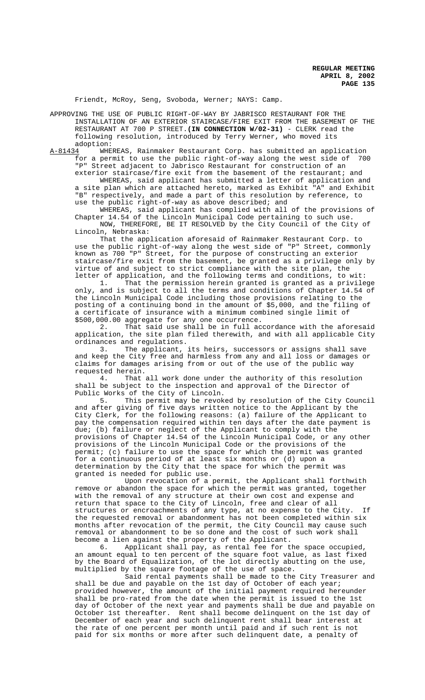Friendt, McRoy, Seng, Svoboda, Werner; NAYS: Camp.

APPROVING THE USE OF PUBLIC RIGHT-OF-WAY BY JABRISCO RESTAURANT FOR THE INSTALLATION OF AN EXTERIOR STAIRCASE/FIRE EXIT FROM THE BASEMENT OF THE RESTAURANT AT 700 P STREET.**(IN CONNECTION W/02-31)** - CLERK read the following resolution, introduced by Terry Werner, who moved its adoption:

A-81434 WHEREAS, Rainmaker Restaurant Corp. has submitted an application for a permit to use the public right-of-way along the west side of "P" Street adjacent to Jabrisco Restaurant for construction of an exterior staircase/fire exit from the basement of the restaurant; and

WHEREAS, said applicant has submitted a letter of application and a site plan which are attached hereto, marked as Exhibit "A" and Exhibit "B" respectively, and made a part of this resolution by reference, to use the public right-of-way as above described; and

WHEREAS, said applicant has complied with all of the provisions of Chapter 14.54 of the Lincoln Municipal Code pertaining to such use. NOW, THEREFORE, BE IT RESOLVED by the City Council of the City of Lincoln, Nebraska:

That the application aforesaid of Rainmaker Restaurant Corp. to use the public right-of-way along the west side of "P" Street, commonly known as 700 "P" Street, for the purpose of constructing an exterior staircase/fire exit from the basement, be granted as a privilege only by virtue of and subject to strict compliance with the site plan, the letter of application, and the following terms and conditions, to wit:

1. That the permission herein granted is granted as a privilege only, and is subject to all the terms and conditions of Chapter 14.54 of the Lincoln Municipal Code including those provisions relating to the posting of a continuing bond in the amount of \$5,000, and the filing of a certificate of insurance with a minimum combined single limit of \$500,000.00 aggregate for any one occurrence.<br>2. That said use shall be in full ac

That said use shall be in full accordance with the aforesaid application, the site plan filed therewith, and with all applicable City ordinances and regulations.

3. The applicant, its heirs, successors or assigns shall save and keep the City free and harmless from any and all loss or damages or claims for damages arising from or out of the use of the public way requested herein.

4. That all work done under the authority of this resolution shall be subject to the inspection and approval of the Director of Public Works of the City of Lincoln.<br>5. This permit may be revok

This permit may be revoked by resolution of the City Council and after giving of five days written notice to the Applicant by the City Clerk, for the following reasons: (a) failure of the Applicant to pay the compensation required within ten days after the date payment is due; (b) failure or neglect of the Applicant to comply with the provisions of Chapter 14.54 of the Lincoln Municipal Code, or any other provisions of the Lincoln Municipal Code or the provisions of the permit; (c) failure to use the space for which the permit was granted for a continuous period of at least six months or (d) upon a determination by the City that the space for which the permit was granted is needed for public use.

Upon revocation of a permit, the Applicant shall forthwith remove or abandon the space for which the permit was granted, together with the removal of any structure at their own cost and expense and return that space to the City of Lincoln, free and clear of all structures or encroachments of any type, at no expense to the City. If the requested removal or abandonment has not been completed within six months after revocation of the permit, the City Council may cause such removal or abandonment to be so done and the cost of such work shall become a lien against the property of the Applicant.<br>6. Applicant shall pay, as rental fee for t

Applicant shall pay, as rental fee for the space occupied, an amount equal to ten percent of the square foot value, as last fixed by the Board of Equalization, of the lot directly abutting on the use, multiplied by the square footage of the use of space.

Said rental payments shall be made to the City Treasurer and shall be due and payable on the 1st day of October of each year; provided however, the amount of the initial payment required hereunder shall be pro-rated from the date when the permit is issued to the 1st day of October of the next year and payments shall be due and payable on October 1st thereafter. Rent shall become delinquent on the 1st day of December of each year and such delinquent rent shall bear interest at the rate of one percent per month until paid and if such rent is not paid for six months or more after such delinquent date, a penalty of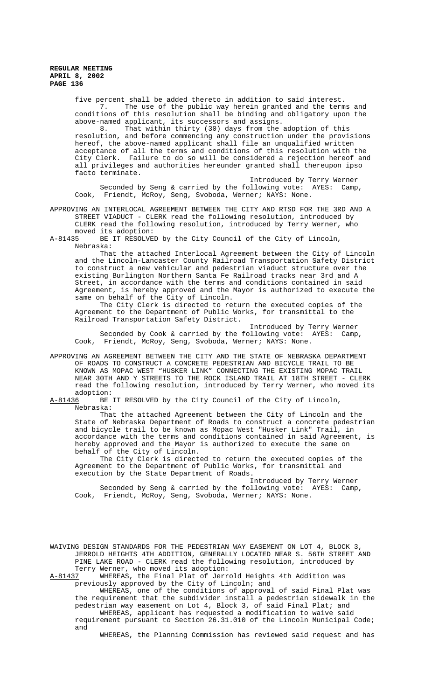five percent shall be added thereto in addition to said interest. 7. The use of the public way herein granted and the terms and conditions of this resolution shall be binding and obligatory upon the above-named applicant, its successors and assigns.

8. That within thirty (30) days from the adoption of this resolution, and before commencing any construction under the provisions hereof, the above-named applicant shall file an unqualified written acceptance of all the terms and conditions of this resolution with the City Clerk. Failure to do so will be considered a rejection hereof and all privileges and authorities hereunder granted shall thereupon ipso facto terminate.

Introduced by Terry Werner Seconded by Seng & carried by the following vote: AYES: Camp, Cook, Friendt, McRoy, Seng, Svoboda, Werner; NAYS: None.

APPROVING AN INTERLOCAL AGREEMENT BETWEEN THE CITY AND RTSD FOR THE 3RD AND A STREET VIADUCT - CLERK read the following resolution, introduced by CLERK read the following resolution, introduced by Terry Werner, who moved its adoption:<br>A-81435 BE IT RESOLVE

BE IT RESOLVED by the City Council of the City of Lincoln, Nebraska:

That the attached Interlocal Agreement between the City of Lincoln and the Lincoln-Lancaster County Railroad Transportation Safety District to construct a new vehicular and pedestrian viaduct structure over the existing Burlington Northern Santa Fe Railroad tracks near 3rd and A Street, in accordance with the terms and conditions contained in said Agreement, is hereby approved and the Mayor is authorized to execute the same on behalf of the City of Lincoln.

The City Clerk is directed to return the executed copies of the Agreement to the Department of Public Works, for transmittal to the Railroad Transportation Safety District.

Introduced by Terry Werner Seconded by Cook & carried by the following vote: AYES: Camp, Cook, Friendt, McRoy, Seng, Svoboda, Werner; NAYS: None.

APPROVING AN AGREEMENT BETWEEN THE CITY AND THE STATE OF NEBRASKA DEPARTMENT OF ROADS TO CONSTRUCT A CONCRETE PEDESTRIAN AND BICYCLE TRAIL TO BE KNOWN AS MOPAC WEST "HUSKER LINK" CONNECTING THE EXISTING MOPAC TRAIL NEAR 30TH AND Y STREETS TO THE ROCK ISLAND TRAIL AT 18TH STREET - CLERK read the following resolution, introduced by Terry Werner, who moved its adoption:

A-81436 BE IT RESOLVED by the City Council of the City of Lincoln, Nebraska:

That the attached Agreement between the City of Lincoln and the State of Nebraska Department of Roads to construct a concrete pedestrian and bicycle trail to be known as Mopac West "Husker Link" Trail, in accordance with the terms and conditions contained in said Agreement, is hereby approved and the Mayor is authorized to execute the same on behalf of the City of Lincoln.

The City Clerk is directed to return the executed copies of the Agreement to the Department of Public Works, for transmittal and execution by the State Department of Roads.

Introduced by Terry Werner Seconded by Seng & carried by the following vote: AYES: Camp, Cook, Friendt, McRoy, Seng, Svoboda, Werner; NAYS: None.

WAIVING DESIGN STANDARDS FOR THE PEDESTRIAN WAY EASEMENT ON LOT 4, BLOCK 3, JERROLD HEIGHTS 4TH ADDITION, GENERALLY LOCATED NEAR S. 56TH STREET AND PINE LAKE ROAD - CLERK read the following resolution, introduced by Terry Werner, who moved its adoption:<br>A-81437 WHEREAS, the Final Plat of Jerr

WHEREAS, the Final Plat of Jerrold Heights 4th Addition was previously approved by the City of Lincoln; and

WHEREAS, one of the conditions of approval of said Final Plat was the requirement that the subdivider install a pedestrian sidewalk in the pedestrian way easement on Lot 4, Block 3, of said Final Plat; and WHEREAS, applicant has requested a modification to waive said requirement pursuant to Section 26.31.010 of the Lincoln Municipal Code;

and WHEREAS, the Planning Commission has reviewed said request and has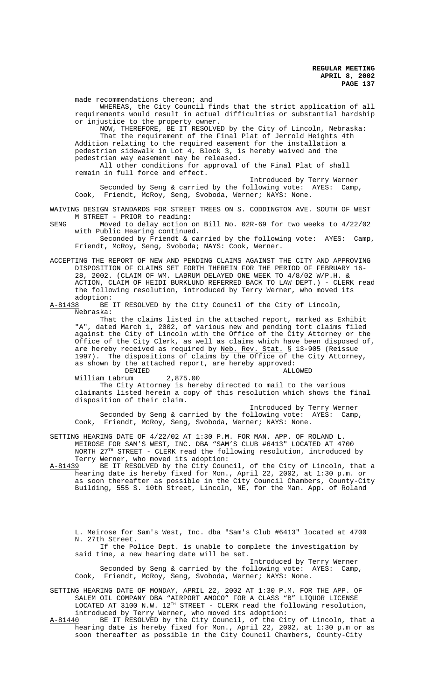made recommendations thereon; and WHEREAS, the City Council finds that the strict application of all requirements would result in actual difficulties or substantial hardship or injustice to the property owner. NOW, THEREFORE, BE IT RESOLVED by the City of Lincoln, Nebraska: That the requirement of the Final Plat of Jerrold Heights 4th Addition relating to the required easement for the installation a pedestrian sidewalk in Lot 4, Block 3, is hereby waived and the pedestrian way easement may be released. All other conditions for approval of the Final Plat of shall remain in full force and effect. Introduced by Terry Werner Seconded by Seng & carried by the following vote: AYES: Camp, Cook, Friendt, McRoy, Seng, Svoboda, Werner; NAYS: None. WAIVING DESIGN STANDARDS FOR STREET TREES ON S. CODDINGTON AVE. SOUTH OF WEST M STREET - PRIOR to reading: SENG Moved to delay action on Bill No. 02R-69 for two weeks to 4/22/02 with Public Hearing continued. Seconded by Friendt & carried by the following vote: AYES: Camp, Friendt, McRoy, Seng, Svoboda; NAYS: Cook, Werner. ACCEPTING THE REPORT OF NEW AND PENDING CLAIMS AGAINST THE CITY AND APPROVING DISPOSITION OF CLAIMS SET FORTH THEREIN FOR THE PERIOD OF FEBRUARY 16- 28, 2002. (CLAIM OF WM. LABRUM DELAYED ONE WEEK TO 4/8/02 W/P.H. & ACTION, CLAIM OF HEIDI BURKLUND REFERRED BACK TO LAW DEPT.) - CLERK read the following resolution, introduced by Terry Werner, who moved its adoption: A-81438 BE IT RESOLVED by the City Council of the City of Lincoln, Nebraska: That the claims listed in the attached report, marked as Exhibit "A", dated March 1, 2002, of various new and pending tort claims filed

against the City of Lincoln with the Office of the City Attorney or the Office of the City Clerk, as well as claims which have been disposed of, are hereby received as required by Neb. Rev. Stat. § 13-905 (Reissue 1997). The dispositions of claims by the Office of the City Attorney, as shown by the attached report, are hereby approved:<br>DENIED ALLOWED

<mark>DENIED</mark><br>rum 2,875.00 William Labrum

The City Attorney is hereby directed to mail to the various claimants listed herein a copy of this resolution which shows the final disposition of their claim.

 Introduced by Terry Werner Seconded by Seng & carried by the following vote: AYES: Camp, Cook, Friendt, McRoy, Seng, Svoboda, Werner; NAYS: None.

SETTING HEARING DATE OF 4/22/02 AT 1:30 P.M. FOR MAN. APP. OF ROLAND L. MEIROSE FOR SAM'S WEST, INC. DBA "SAM'S CLUB #6413" LOCATED AT 4700 NORTH 27TH STREET - CLERK read the following resolution, introduced by Terry Werner, who moved its adoption:<br>A-81439 BE IT RESOLVED by the City Coun

BE IT RESOLVED by the City Council, of the City of Lincoln, that a hearing date is hereby fixed for Mon., April 22, 2002, at 1:30 p.m. or as soon thereafter as possible in the City Council Chambers, County-City Building, 555 S. 10th Street, Lincoln, NE, for the Man. App. of Roland

L. Meirose for Sam's West, Inc. dba "Sam's Club #6413" located at 4700 N. 27th Street.

If the Police Dept. is unable to complete the investigation by said time, a new hearing date will be set.

Introduced by Terry Werner Seconded by Seng & carried by the following vote: AYES: Camp, Cook, Friendt, McRoy, Seng, Svoboda, Werner; NAYS: None.

SETTING HEARING DATE OF MONDAY, APRIL 22, 2002 AT 1:30 P.M. FOR THE APP. OF SALEM OIL COMPANY DBA "AIRPORT AMOCO" FOR A CLASS "B" LIQUOR LICENSE LOCATED AT 3100 N.W. 12TH STREET - CLERK read the following resolution, introduced by Terry Werner, who moved its adoption:

A-81440 BE IT RESOLVED by the City Council, of the City of Lincoln, that a hearing date is hereby fixed for Mon., April 22, 2002, at 1:30 p.m or as soon thereafter as possible in the City Council Chambers, County-City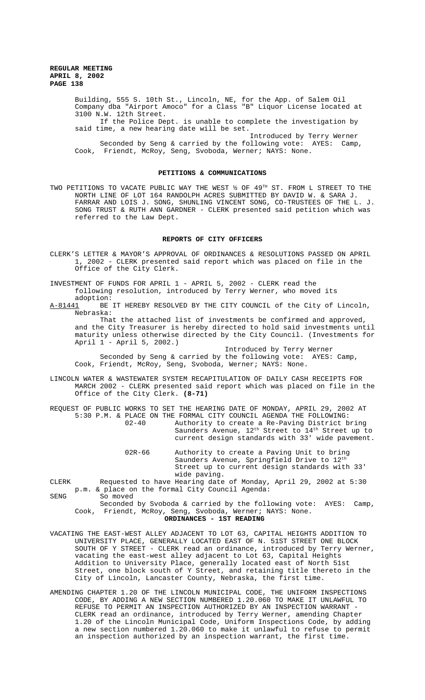> Building, 555 S. 10th St., Lincoln, NE, for the App. of Salem Oil Company dba "Airport Amoco" for a Class "B" Liquor License located at 3100 N.W. 12th Street.

If the Police Dept. is unable to complete the investigation by said time, a new hearing date will be set.

Introduced by Terry Werner Seconded by Seng & carried by the following vote: AYES: Camp, Cook, Friendt, McRoy, Seng, Svoboda, Werner; NAYS: None.

### **PETITIONS & COMMUNICATIONS**

TWO PETITIONS TO VACATE PUBLIC WAY THE WEST  $\frac{1}{2}$  OF 49<sup>TH</sup> ST. FROM L STREET TO THE NORTH LINE OF LOT 164 RANDOLPH ACRES SUBMITTED BY DAVID W. & SARA J. FARRAR AND LOIS J. SONG, SHUNLING VINCENT SONG, CO-TRUSTEES OF THE L. J. SONG TRUST & RUTH ANN GARDNER - CLERK presented said petition which was referred to the Law Dept.

#### **REPORTS OF CITY OFFICERS**

CLERK'S LETTER & MAYOR'S APPROVAL OF ORDINANCES & RESOLUTIONS PASSED ON APRIL 1, 2002 - CLERK presented said report which was placed on file in the Office of the City Clerk.

INVESTMENT OF FUNDS FOR APRIL 1 - APRIL 5, 2002 - CLERK read the following resolution, introduced by Terry Werner, who moved its adoption:

A-81441 BE IT HEREBY RESOLVED BY THE CITY COUNCIL of the City of Lincoln, Nebraska:

That the attached list of investments be confirmed and approved, and the City Treasurer is hereby directed to hold said investments until maturity unless otherwise directed by the City Council. (Investments for April 1 - April 5, 2002.)

Introduced by Terry Werner Seconded by Seng & carried by the following vote: AYES: Camp, Cook, Friendt, McRoy, Seng, Svoboda, Werner; NAYS: None.

LINCOLN WATER & WASTEWATER SYSTEM RECAPITULATION OF DAILY CASH RECEIPTS FOR MARCH 2002 - CLERK presented said report which was placed on file in the Office of the City Clerk. **(8-71)**

REQUEST OF PUBLIC WORKS TO SET THE HEARING DATE OF MONDAY, APRIL 29, 2002 AT 5:30 P.M. & PLACE ON THE FORMAL CITY COUNCIL AGENDA THE FOLLOWING: 02-40 Authority to create a Re-Paving District bring Saunders Avenue, 12<sup>th</sup> Street to 14<sup>th</sup> Street up to current design standards with 33' wide pavement.

> 02R-66 Authority to create a Paving Unit to bring Saunders Avenue, Springfield Drive to 12<sup>th</sup> Street up to current design standards with 33' wide paving.

CLERK Requested to have Hearing date of Monday, April 29, 2002 at 5:30 p.m. & place on the formal City Council Agenda: SENG So moved

Seconded by Svoboda & carried by the following vote: AYES: Camp, Cook, Friendt, McRoy, Seng, Svoboda, Werner; NAYS: None.

**ORDINANCES - 1ST READING**

VACATING THE EAST-WEST ALLEY ADJACENT TO LOT 63, CAPITAL HEIGHTS ADDITION TO UNIVERSITY PLACE, GENERALLY LOCATED EAST OF N. 51ST STREET ONE BLOCK SOUTH OF Y STREET - CLERK read an ordinance, introduced by Terry Werner, vacating the east-west alley adjacent to Lot 63, Capital Heights Addition to University Place, generally located east of North 51st Street, one block south of Y Street, and retaining title thereto in the City of Lincoln, Lancaster County, Nebraska, the first time.

AMENDING CHAPTER 1.20 OF THE LINCOLN MUNICIPAL CODE, THE UNIFORM INSPECTIONS CODE, BY ADDING A NEW SECTION NUMBERED 1.20.060 TO MAKE IT UNLAWFUL TO REFUSE TO PERMIT AN INSPECTION AUTHORIZED BY AN INSPECTION WARRANT - CLERK read an ordinance, introduced by Terry Werner, amending Chapter 1.20 of the Lincoln Municipal Code, Uniform Inspections Code, by adding a new section numbered 1.20.060 to make it unlawful to refuse to permit an inspection authorized by an inspection warrant, the first time.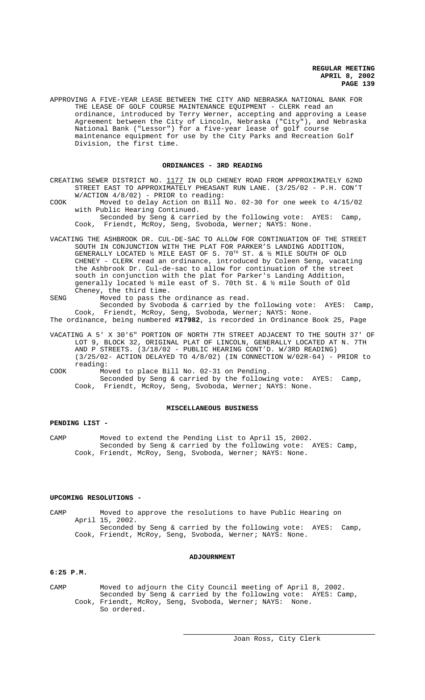APPROVING A FIVE-YEAR LEASE BETWEEN THE CITY AND NEBRASKA NATIONAL BANK FOR THE LEASE OF GOLF COURSE MAINTENANCE EQUIPMENT - CLERK read an ordinance, introduced by Terry Werner, accepting and approving a Lease Agreement between the City of Lincoln, Nebraska ("City"), and Nebraska National Bank ("Lessor") for a five-year lease of golf course maintenance equipment for use by the City Parks and Recreation Golf Division, the first time.

## **ORDINANCES - 3RD READING**

CREATING SEWER DISTRICT NO. 1177 IN OLD CHENEY ROAD FROM APPROXIMATELY 62ND STREET EAST TO APPROXIMATELY PHEASANT RUN LANE. (3/25/02 - P.H. CON'T W/ACTION 4/8/02) - PRIOR to reading:

COOK Moved to delay Action on Bill No. 02-30 for one week to 4/15/02 with Public Hearing Continued.

Seconded by Seng & carried by the following vote: AYES: Camp, Cook, Friendt, McRoy, Seng, Svoboda, Werner; NAYS: None.

VACATING THE ASHBROOK DR. CUL-DE-SAC TO ALLOW FOR CONTINUATION OF THE STREET SOUTH IN CONJUNCTION WITH THE PLAT FOR PARKER'S LANDING ADDITION, GENERALLY LOCATED ½ MILE EAST OF S. 70TH ST. & ½ MILE SOUTH OF OLD CHENEY - CLERK read an ordinance, introduced by Coleen Seng, vacating the Ashbrook Dr. Cul-de-sac to allow for continuation of the street south in conjunction with the plat for Parker's Landing Addition, generally located ½ mile east of S. 70th St. & ½ mile South of Old Cheney, the third time.

SENG Moved to pass the ordinance as read. Seconded by Svoboda & carried by the following vote: AYES: Camp, Cook, Friendt, McRoy, Seng, Svoboda, Werner; NAYS: None.

The ordinance, being numbered **#17982**, is recorded in Ordinance Book 25, Page

VACATING A 5' X 30'6" PORTION OF NORTH 7TH STREET ADJACENT TO THE SOUTH 37' OF LOT 9, BLOCK 32, ORIGINAL PLAT OF LINCOLN, GENERALLY LOCATED AT N. 7TH AND P STREETS. (3/18/02 - PUBLIC HEARING CONT'D. W/3RD READING) (3/25/02- ACTION DELAYED TO 4/8/02) (IN CONNECTION W/02R-64) - PRIOR to reading:

COOK Moved to place Bill No. 02-31 on Pending. Seconded by Seng & carried by the following vote: AYES: Camp, Cook, Friendt, McRoy, Seng, Svoboda, Werner; NAYS: None.

#### **MISCELLANEOUS BUSINESS**

#### **PENDING LIST -**

CAMP Moved to extend the Pending List to April 15, 2002. Seconded by Seng & carried by the following vote: AYES: Camp, Cook, Friendt, McRoy, Seng, Svoboda, Werner; NAYS: None.

## **UPCOMING RESOLUTIONS -**

CAMP Moved to approve the resolutions to have Public Hearing on April 15, 2002. Seconded by Seng & carried by the following vote: AYES: Camp, Cook, Friendt, McRoy, Seng, Svoboda, Werner; NAYS: None.

### **ADJOURNMENT**

## **6:25 P.M.**

CAMP Moved to adjourn the City Council meeting of April 8, 2002. Seconded by Seng & carried by the following vote: AYES: Camp, Cook, Friendt, McRoy, Seng, Svoboda, Werner; NAYS: None. So ordered.

 $\overline{a}$